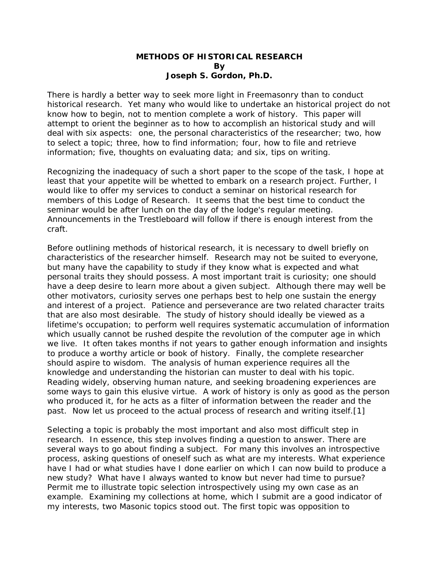## **METHODS OF HISTORICAL RESEARCH By Joseph S. Gordon, Ph.D.**

There is hardly a better way to seek more light in Freemasonry than to conduct historical research. Yet many who would like to undertake an historical project do not know how to begin, not to mention complete a work of history. This paper will attempt to orient the beginner as to how to accomplish an historical study and will deal with six aspects: one, the personal characteristics of the researcher; two, how to select a topic; three, how to find information; four, how to file and retrieve information; five, thoughts on evaluating data; and six, tips on writing.

Recognizing the inadequacy of such a short paper to the scope of the task, I hope at least that your appetite will be whetted to embark on a research project. Further, I would like to offer my services to conduct a seminar on historical research for members of this Lodge of Research. It seems that the best time to conduct the seminar would be after lunch on the day of the lodge's regular meeting. Announcements in the Trestleboard will follow if there is enough interest from the craft.

Before outlining methods of historical research, it is necessary to dwell briefly on characteristics of the researcher himself. Research may not be suited to everyone, but many have the capability to study if they know what is expected and what personal traits they should possess. A most important trait is curiosity; one should have a deep desire to learn more about a given subject. Although there may well be other motivators, curiosity serves one perhaps best to help one sustain the energy and interest of a project. Patience and perseverance are two related character traits that are also most desirable. The study of history should ideally be viewed as a lifetime's occupation; to perform well requires systematic accumulation of information which usually cannot be rushed despite the revolution of the computer age in which we live. It often takes months if not years to gather enough information and insights to produce a worthy article or book of history. Finally, the complete researcher should aspire to wisdom. The analysis of human experience requires all the knowledge and understanding the historian can muster to deal with his topic. Reading widely, observing human nature, and seeking broadening experiences are some ways to gain this elusive virtue. A work of history is only as good as the person who produced it, for he acts as a filter of information between the reader and the past. Now let us proceed to the actual process of research and writing itself.[1]

Selecting a topic is probably the most important and also most difficult step in research. In essence, this step involves finding a question to answer. There are several ways to go about finding a subject. For many this involves an introspective process, asking questions of oneself such as what are my interests. What experience have I had or what studies have I done earlier on which I can now build to produce a new study? What have I always wanted to know but never had time to pursue? Permit me to illustrate topic selection introspectively using my own case as an example. Examining my collections at home, which I submit are a good indicator of my interests, two Masonic topics stood out. The first topic was opposition to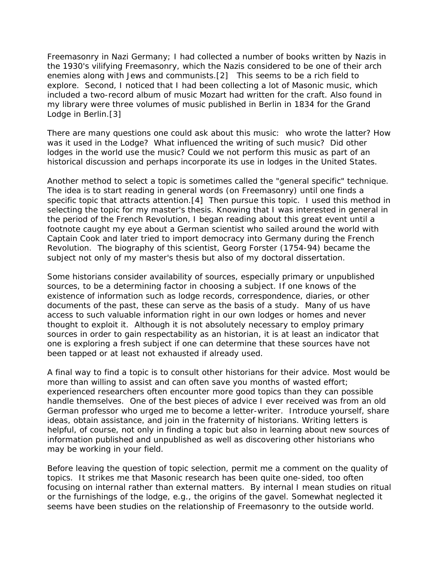Freemasonry in Nazi Germany; I had collected a number of books written by Nazis in the 1930's vilifying Freemasonry, which the Nazis considered to be one of their arch enemies along with Jews and communists.[2] This seems to be a rich field to explore. Second, I noticed that I had been collecting a lot of Masonic music, which included a two-record album of music Mozart had written for the craft. Also found in my library were three volumes of music published in Berlin in 1834 for the Grand Lodge in Berlin.[3]

There are many questions one could ask about this music: who wrote the latter? How was it used in the Lodge? What influenced the writing of such music? Did other lodges in the world use the music? Could we not perform this music as part of an historical discussion and perhaps incorporate its use in lodges in the United States.

Another method to select a topic is sometimes called the "general specific" technique. The idea is to start reading in general words (on Freemasonry) until one finds a specific topic that attracts attention.[4] Then pursue this topic. I used this method in selecting the topic for my master's thesis. Knowing that I was interested in general in the period of the French Revolution, I began reading about this great event until a footnote caught my eye about a German scientist who sailed around the world with Captain Cook and later tried to import democracy into Germany during the French Revolution. The biography of this scientist, Georg Forster (1754-94) became the subject not only of my master's thesis but also of my doctoral dissertation.

Some historians consider availability of sources, especially primary or unpublished sources, to be a determining factor in choosing a subject. If one knows of the existence of information such as lodge records, correspondence, diaries, or other documents of the past, these can serve as the basis of a study. Many of us have access to such valuable information right in our own lodges or homes and never thought to exploit it. Although it is not absolutely necessary to employ primary sources in order to gain respectability as an historian, it is at least an indicator that one is exploring a fresh subject if one can determine that these sources have not been tapped or at least not exhausted if already used.

A final way to find a topic is to consult other historians for their advice. Most would be more than willing to assist and can often save you months of wasted effort; experienced researchers often encounter more good topics than they can possible handle themselves. One of the best pieces of advice I ever received was from an old German professor who urged me to become a letter-writer. Introduce yourself, share ideas, obtain assistance, and join in the fraternity of historians. Writing letters is helpful, of course, not only in finding a topic but also in learning about new sources of information published and unpublished as well as discovering other historians who may be working in your field.

Before leaving the question of topic selection, permit me a comment on the quality of topics. It strikes me that Masonic research has been quite one-sided, too often focusing on internal rather than external matters. By internal I mean studies on ritual or the furnishings of the lodge, e.g., the origins of the gavel. Somewhat neglected it seems have been studies on the relationship of Freemasonry to the outside world.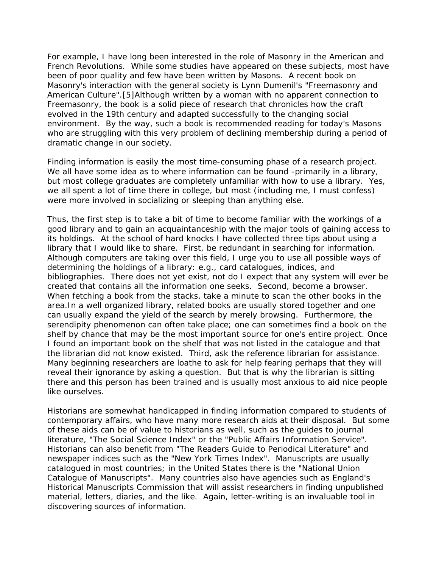For example, I have long been interested in the role of Masonry in the American and French Revolutions. While some studies have appeared on these subjects, most have been of poor quality and few have been written by Masons. A recent book on Masonry's interaction with the general society is Lynn Dumenil's "Freemasonry and American Culture".[5]Although written by a woman with no apparent connection to Freemasonry, the book is a solid piece of research that chronicles how the craft evolved in the 19th century and adapted successfully to the changing social environment. By the way, such a book is recommended reading for today's Masons who are struggling with this very problem of declining membership during a period of dramatic change in our society.

Finding information is easily the most time-consuming phase of a research project. We all have some idea as to where information can be found -primarily in a library, but most college graduates are completely unfamiliar with how to use a library. Yes, we all spent a lot of time there in college, but most (including me, I must confess) were more involved in socializing or sleeping than anything else.

Thus, the first step is to take a bit of time to become familiar with the workings of a good library and to gain an acquaintanceship with the major tools of gaining access to its holdings. At the school of hard knocks I have collected three tips about using a library that I would like to share. First, be redundant in searching for information. Although computers are taking over this field, I urge you to use all possible ways of determining the holdings of a library: e.g., card catalogues, indices, and bibliographies. There does not yet exist, not do I expect that any system will ever be created that contains all the information one seeks. Second, become a browser. When fetching a book from the stacks, take a minute to scan the other books in the area.In a well organized library, related books are usually stored together and one can usually expand the yield of the search by merely browsing. Furthermore, the serendipity phenomenon can often take place; one can sometimes find a book on the shelf by chance that may be the most important source for one's entire project. Once I found an important book on the shelf that was not listed in the catalogue and that the librarian did not know existed. Third, ask the reference librarian for assistance. Many beginning researchers are loathe to ask for help fearing perhaps that they will reveal their ignorance by asking a question. But that is why the librarian is sitting there and this person has been trained and is usually most anxious to aid nice people like ourselves.

Historians are somewhat handicapped in finding information compared to students of contemporary affairs, who have many more research aids at their disposal. But some of these aids can be of value to historians as well, such as the guides to journal literature, "The Social Science Index" or the "Public Affairs Information Service". Historians can also benefit from "The Readers Guide to Periodical Literature" and newspaper indices such as the "New York Times Index". Manuscripts are usually catalogued in most countries; in the United States there is the "National Union Catalogue of Manuscripts". Many countries also have agencies such as England's Historical Manuscripts Commission that will assist researchers in finding unpublished material, letters, diaries, and the like. Again, letter-writing is an invaluable tool in discovering sources of information.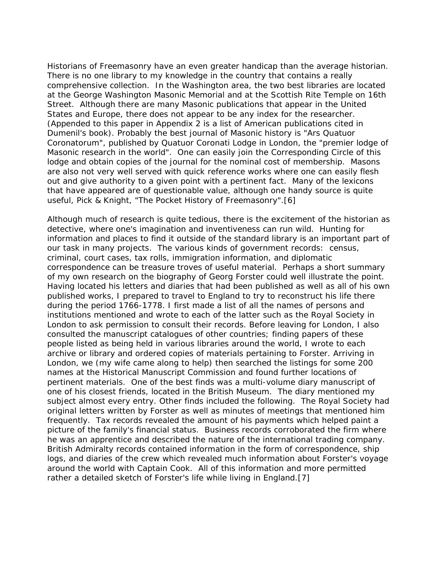Historians of Freemasonry have an even greater handicap than the average historian. There is no one library to my knowledge in the country that contains a really comprehensive collection. In the Washington area, the two best libraries are located at the George Washington Masonic Memorial and at the Scottish Rite Temple on 16th Street. Although there are many Masonic publications that appear in the United States and Europe, there does not appear to be any index for the researcher. (Appended to this paper in Appendix 2 is a list of American publications cited in Dumenil's book). Probably the best journal of Masonic history is "Ars Quatuor Coronatorum", published by Quatuor Coronati Lodge in London, the "premier lodge of Masonic research in the world". One can easily join the Corresponding Circle of this lodge and obtain copies of the journal for the nominal cost of membership. Masons are also not very well served with quick reference works where one can easily flesh out and give authority to a given point with a pertinent fact. Many of the lexicons that have appeared are of questionable value, although one handy source is quite useful, Pick & Knight, "The Pocket History of Freemasonry".[6]

Although much of research is quite tedious, there is the excitement of the historian as detective, where one's imagination and inventiveness can run wild. Hunting for information and places to find it outside of the standard library is an important part of our task in many projects. The various kinds of government records: census, criminal, court cases, tax rolls, immigration information, and diplomatic correspondence can be treasure troves of useful material. Perhaps a short summary of my own research on the biography of Georg Forster could well illustrate the point. Having located his letters and diaries that had been published as well as all of his own published works, I prepared to travel to England to try to reconstruct his life there during the period 1766-1778. I first made a list of all the names of persons and institutions mentioned and wrote to each of the latter such as the Royal Society in London to ask permission to consult their records. Before leaving for London, I also consulted the manuscript catalogues of other countries; finding papers of these people listed as being held in various libraries around the world, I wrote to each archive or library and ordered copies of materials pertaining to Forster. Arriving in London, we (my wife came along to help) then searched the listings for some 200 names at the Historical Manuscript Commission and found further locations of pertinent materials. One of the best finds was a multi-volume diary manuscript of one of his closest friends, located in the British Museum. The diary mentioned my subject almost every entry. Other finds included the following. The Royal Society had original letters written by Forster as well as minutes of meetings that mentioned him frequently. Tax records revealed the amount of his payments which helped paint a picture of the family's financial status. Business records corroborated the firm where he was an apprentice and described the nature of the international trading company. British Admiralty records contained information in the form of correspondence, ship logs, and diaries of the crew which revealed much information about Forster's voyage around the world with Captain Cook. All of this information and more permitted rather a detailed sketch of Forster's life while living in England.[7]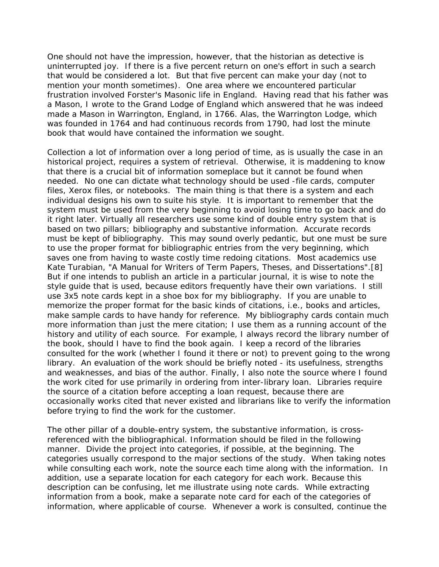One should not have the impression, however, that the historian as detective is uninterrupted joy. If there is a five percent return on one's effort in such a search that would be considered a lot. But that five percent can make your day (not to mention your month sometimes). One area where we encountered particular frustration involved Forster's Masonic life in England. Having read that his father was a Mason, I wrote to the Grand Lodge of England which answered that he was indeed made a Mason in Warrington, England, in 1766. Alas, the Warrington Lodge, which was founded in 1764 and had continuous records from 1790, had lost the minute book that would have contained the information we sought.

Collection a lot of information over a long period of time, as is usually the case in an historical project, requires a system of retrieval. Otherwise, it is maddening to know that there is a crucial bit of information someplace but it cannot be found when needed. No one can dictate what technology should be used -file cards, computer files, Xerox files, or notebooks. The main thing is that there is a system and each individual designs his own to suite his style. It is important to remember that the system must be used from the very beginning to avoid losing time to go back and do it right later. Virtually all researchers use some kind of double entry system that is based on two pillars; bibliography and substantive information. Accurate records must be kept of bibliography. This may sound overly pedantic, but one must be sure to use the proper format for bibliographic entries from the very beginning, which saves one from having to waste costly time redoing citations. Most academics use Kate Turabian, "A Manual for Writers of Term Papers, Theses, and Dissertations".[8] But if one intends to publish an article in a particular journal, it is wise to note the style guide that is used, because editors frequently have their own variations. I still use 3x5 note cards kept in a shoe box for my bibliography. If you are unable to memorize the proper format for the basic kinds of citations, i.e., books and articles, make sample cards to have handy for reference. My bibliography cards contain much more information than just the mere citation; I use them as a running account of the history and utility of each source. For example, I always record the library number of the book, should I have to find the book again. I keep a record of the libraries consulted for the work (whether I found it there or not) to prevent going to the wrong library. An evaluation of the work should be briefly noted - its usefulness, strengths and weaknesses, and bias of the author. Finally, I also note the source where I found the work cited for use primarily in ordering from inter-library loan. Libraries require the source of a citation before accepting a loan request, because there are occasionally works cited that never existed and librarians like to verify the information before trying to find the work for the customer.

The other pillar of a double-entry system, the substantive information, is crossreferenced with the bibliographical. Information should be filed in the following manner. Divide the project into categories, if possible, at the beginning. The categories usually correspond to the major sections of the study. When taking notes while consulting each work, note the source each time along with the information. In addition, use a separate location for each category for each work. Because this description can be confusing, let me illustrate using note cards. While extracting information from a book, make a separate note card for each of the categories of information, where applicable of course. Whenever a work is consulted, continue the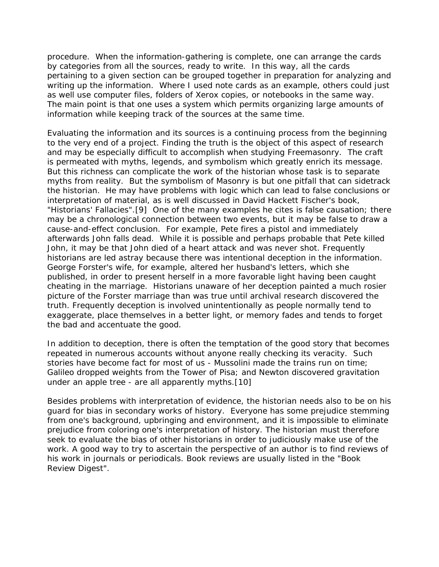procedure. When the information-gathering is complete, one can arrange the cards by categories from all the sources, ready to write. In this way, all the cards pertaining to a given section can be grouped together in preparation for analyzing and writing up the information. Where I used note cards as an example, others could just as well use computer files, folders of Xerox copies, or notebooks in the same way. The main point is that one uses a system which permits organizing large amounts of information while keeping track of the sources at the same time.

Evaluating the information and its sources is a continuing process from the beginning to the very end of a project. Finding the truth is the object of this aspect of research and may be especially difficult to accomplish when studying Freemasonry. The craft is permeated with myths, legends, and symbolism which greatly enrich its message. But this richness can complicate the work of the historian whose task is to separate myths from reality. But the symbolism of Masonry is but one pitfall that can sidetrack the historian. He may have problems with logic which can lead to false conclusions or interpretation of material, as is well discussed in David Hackett Fischer's book, "Historians' Fallacies".[9] One of the many examples he cites is false causation; there may be a chronological connection between two events, but it may be false to draw a cause-and-effect conclusion. For example, Pete fires a pistol and immediately afterwards John falls dead. While it is possible and perhaps probable that Pete killed John, it may be that John died of a heart attack and was never shot. Frequently historians are led astray because there was intentional deception in the information. George Forster's wife, for example, altered her husband's letters, which she published, in order to present herself in a more favorable light having been caught cheating in the marriage. Historians unaware of her deception painted a much rosier picture of the Forster marriage than was true until archival research discovered the truth. Frequently deception is involved unintentionally as people normally tend to exaggerate, place themselves in a better light, or memory fades and tends to forget the bad and accentuate the good.

In addition to deception, there is often the temptation of the good story that becomes repeated in numerous accounts without anyone really checking its veracity. Such stories have become fact for most of us - Mussolini made the trains run on time; Galileo dropped weights from the Tower of Pisa; and Newton discovered gravitation under an apple tree - are all apparently myths.[10]

Besides problems with interpretation of evidence, the historian needs also to be on his guard for bias in secondary works of history. Everyone has some prejudice stemming from one's background, upbringing and environment, and it is impossible to eliminate prejudice from coloring one's interpretation of history. The historian must therefore seek to evaluate the bias of other historians in order to judiciously make use of the work. A good way to try to ascertain the perspective of an author is to find reviews of his work in journals or periodicals. Book reviews are usually listed in the "Book Review Digest".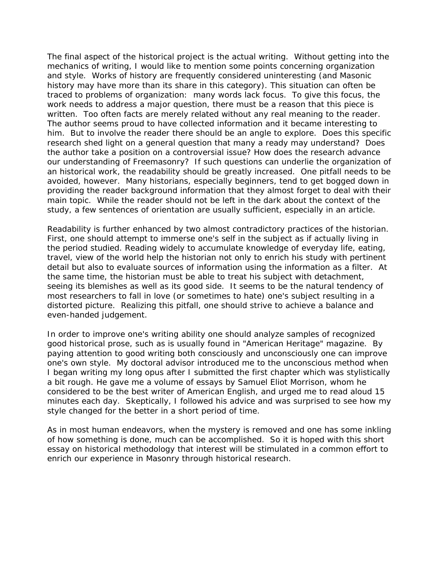The final aspect of the historical project is the actual writing. Without getting into the mechanics of writing, I would like to mention some points concerning organization and style. Works of history are frequently considered uninteresting (and Masonic history may have more than its share in this category). This situation can often be traced to problems of organization: many words lack focus. To give this focus, the work needs to address a major question, there must be a reason that this piece is written. Too often facts are merely related without any real meaning to the reader. The author seems proud to have collected information and it became interesting to him. But to involve the reader there should be an angle to explore. Does this specific research shed light on a general question that many a ready may understand? Does the author take a position on a controversial issue? How does the research advance our understanding of Freemasonry? If such questions can underlie the organization of an historical work, the readability should be greatly increased. One pitfall needs to be avoided, however. Many historians, especially beginners, tend to get bogged down in providing the reader background information that they almost forget to deal with their main topic. While the reader should not be left in the dark about the context of the study, a few sentences of orientation are usually sufficient, especially in an article.

Readability is further enhanced by two almost contradictory practices of the historian. First, one should attempt to immerse one's self in the subject as if actually living in the period studied. Reading widely to accumulate knowledge of everyday life, eating, travel, view of the world help the historian not only to enrich his study with pertinent detail but also to evaluate sources of information using the information as a filter. At the same time, the historian must be able to treat his subject with detachment, seeing its blemishes as well as its good side. It seems to be the natural tendency of most researchers to fall in love (or sometimes to hate) one's subject resulting in a distorted picture. Realizing this pitfall, one should strive to achieve a balance and even-handed judgement.

In order to improve one's writing ability one should analyze samples of recognized good historical prose, such as is usually found in "American Heritage" magazine. By paying attention to good writing both consciously and unconsciously one can improve one's own style. My doctoral advisor introduced me to the unconscious method when I began writing my long opus after I submitted the first chapter which was stylistically a bit rough. He gave me a volume of essays by Samuel Eliot Morrison, whom he considered to be the best writer of American English, and urged me to read aloud 15 minutes each day. Skeptically, I followed his advice and was surprised to see how my style changed for the better in a short period of time.

As in most human endeavors, when the mystery is removed and one has some inkling of how something is done, much can be accomplished. So it is hoped with this short essay on historical methodology that interest will be stimulated in a common effort to enrich our experience in Masonry through historical research.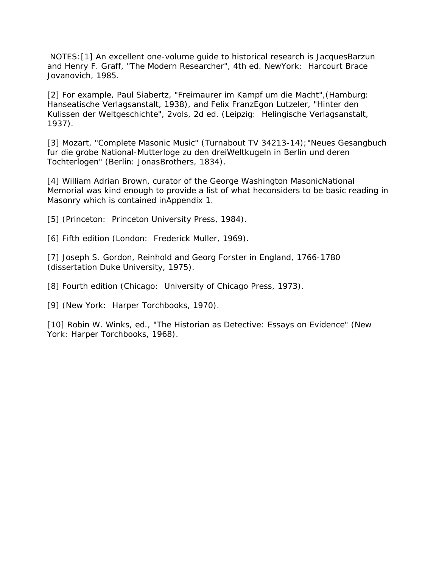NOTES:[1] An excellent one-volume guide to historical research is JacquesBarzun and Henry F. Graff, "The Modern Researcher", 4th ed. NewYork: Harcourt Brace Jovanovich, 1985.

[2] For example, Paul Siabertz, "Freimaurer im Kampf um die Macht",(Hamburg: Hanseatische Verlagsanstalt, 1938), and Felix FranzEgon Lutzeler, "Hinter den Kulissen der Weltgeschichte", 2vols, 2d ed. (Leipzig: Helingische Verlagsanstalt, 1937).

[3] Mozart, "Complete Masonic Music" (Turnabout TV 34213-14);"Neues Gesangbuch fur die grobe National-Mutterloge zu den dreiWeltkugeln in Berlin und deren Tochterlogen" (Berlin: JonasBrothers, 1834).

[4] William Adrian Brown, curator of the George Washington MasonicNational Memorial was kind enough to provide a list of what heconsiders to be basic reading in Masonry which is contained inAppendix 1.

[5] (Princeton: Princeton University Press, 1984).

[6] Fifth edition (London: Frederick Muller, 1969).

[7] Joseph S. Gordon, Reinhold and Georg Forster in England, 1766-1780 (dissertation Duke University, 1975).

[8] Fourth edition (Chicago: University of Chicago Press, 1973).

[9] (New York: Harper Torchbooks, 1970).

[10] Robin W. Winks, ed., "The Historian as Detective: Essays on Evidence" (New York: Harper Torchbooks, 1968).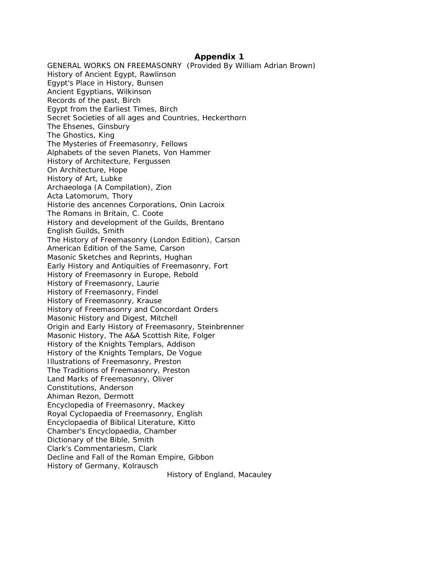## **Appendix 1**

GENERAL WORKS ON FREEMASONRY (Provided By William Adrian Brown) History of Ancient Egypt, Rawlinson Egypt's Place in History, Bunsen Ancient Egyptians, Wilkinson Records of the past, Birch Egypt from the Earliest Times, Birch Secret Societies of all ages and Countries, Heckerthorn The Ehsenes, Ginsbury The Ghostics, King The Mysteries of Freemasonry, Fellows Alphabets of the seven Planets, Von Hammer History of Architecture, Fergussen On Architecture, Hope History of Art, Lubke Archaeologa (A Compilation), Zion Acta Latomorum, Thory Historie des ancennes Corporations, Onin Lacroix The Romans in Britain, C. Coote History and development of the Guilds, Brentano English Guilds, Smith The History of Freemasonry (London Edition), Carson American Edition of the Same, Carson Masonic Sketches and Reprints, Hughan Early History and Antiquities of Freemasonry, Fort History of Freemasonry in Europe, Rebold History of Freemasonry, Laurie History of Freemasonry, Findel History of Freemasonry, Krause History of Freemasonry and Concordant Orders Masonic History and Digest, Mitchell Origin and Early History of Freemasonry, Steinbrenner Masonic History, The A&A Scottish Rite, Folger History of the Knights Templars, Addison History of the Knights Templars, De Vogue Illustrations of Freemasonry, Preston The Traditions of Freemasonry, Preston Land Marks of Freemasonry, Oliver Constitutions, Anderson Ahiman Rezon, Dermott Encyclopedia of Freemasonry, Mackey Royal Cyclopaedia of Freemasonry, English Encyclopaedia of Biblical Literature, Kitto Chamber's Encyclopaedia, Chamber Dictionary of the Bible, Smith Clark's Commentariesm, Clark Decline and Fall of the Roman Empire, Gibbon History of Germany, Kolrausch History of England, Macauley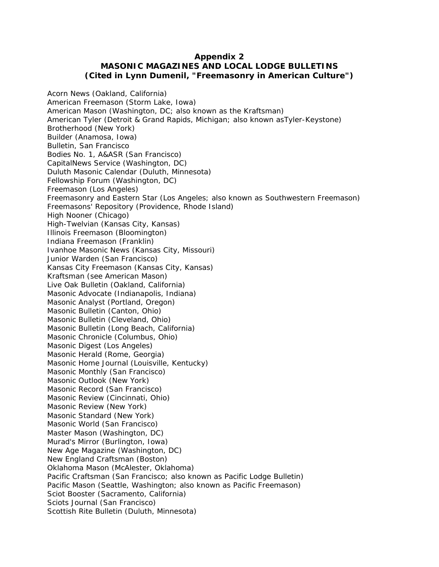## **Appendix 2**

## **MASONIC MAGAZINES AND LOCAL LODGE BULLETINS (Cited in Lynn Dumenil, "Freemasonry in American Culture")**

Acorn News (Oakland, California) American Freemason (Storm Lake, Iowa) American Mason (Washington, DC; also known as the Kraftsman) American Tyler (Detroit & Grand Rapids, Michigan; also known asTyler-Keystone) Brotherhood (New York) Builder (Anamosa, Iowa) Bulletin, San Francisco Bodies No. 1, A&ASR (San Francisco) CapitalNews Service (Washington, DC) Duluth Masonic Calendar (Duluth, Minnesota) Fellowship Forum (Washington, DC) Freemason (Los Angeles) Freemasonry and Eastern Star (Los Angeles; also known as Southwestern Freemason) Freemasons' Repository (Providence, Rhode Island) High Nooner (Chicago) High-Twelvian (Kansas City, Kansas) Illinois Freemason (Bloomington) Indiana Freemason (Franklin) Ivanhoe Masonic News (Kansas City, Missouri) Junior Warden (San Francisco) Kansas City Freemason (Kansas City, Kansas) Kraftsman (see American Mason) Live Oak Bulletin (Oakland, California) Masonic Advocate (Indianapolis, Indiana) Masonic Analyst (Portland, Oregon) Masonic Bulletin (Canton, Ohio) Masonic Bulletin (Cleveland, Ohio) Masonic Bulletin (Long Beach, California) Masonic Chronicle (Columbus, Ohio) Masonic Digest (Los Angeles) Masonic Herald (Rome, Georgia) Masonic Home Journal (Louisville, Kentucky) Masonic Monthly (San Francisco) Masonic Outlook (New York) Masonic Record (San Francisco) Masonic Review (Cincinnati, Ohio) Masonic Review (New York) Masonic Standard (New York) Masonic World (San Francisco) Master Mason (Washington, DC) Murad's Mirror (Burlington, Iowa) New Age Magazine (Washington, DC) New England Craftsman (Boston) Oklahoma Mason (McAlester, Oklahoma) Pacific Craftsman (San Francisco; also known as Pacific Lodge Bulletin) Pacific Mason (Seattle, Washington; also known as Pacific Freemason) Sciot Booster (Sacramento, California) Sciots Journal (San Francisco) Scottish Rite Bulletin (Duluth, Minnesota)